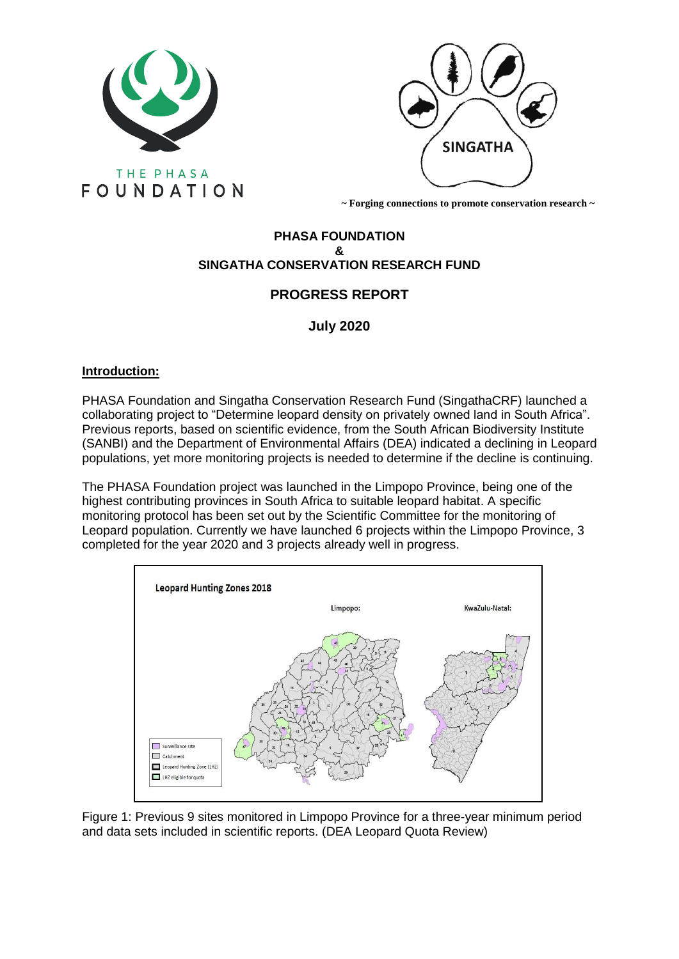



 **~ Forging connections to promote conservation research ~**

# **PHASA FOUNDATION & SINGATHA CONSERVATION RESEARCH FUND**

# **PROGRESS REPORT**

# **July 2020**

# **Introduction:**

PHASA Foundation and Singatha Conservation Research Fund (SingathaCRF) launched a collaborating project to "Determine leopard density on privately owned land in South Africa". Previous reports, based on scientific evidence, from the South African Biodiversity Institute (SANBI) and the Department of Environmental Affairs (DEA) indicated a declining in Leopard populations, yet more monitoring projects is needed to determine if the decline is continuing.

The PHASA Foundation project was launched in the Limpopo Province, being one of the highest contributing provinces in South Africa to suitable leopard habitat. A specific monitoring protocol has been set out by the Scientific Committee for the monitoring of Leopard population. Currently we have launched 6 projects within the Limpopo Province, 3 completed for the year 2020 and 3 projects already well in progress.



Figure 1: Previous 9 sites monitored in Limpopo Province for a three-year minimum period and data sets included in scientific reports. (DEA Leopard Quota Review)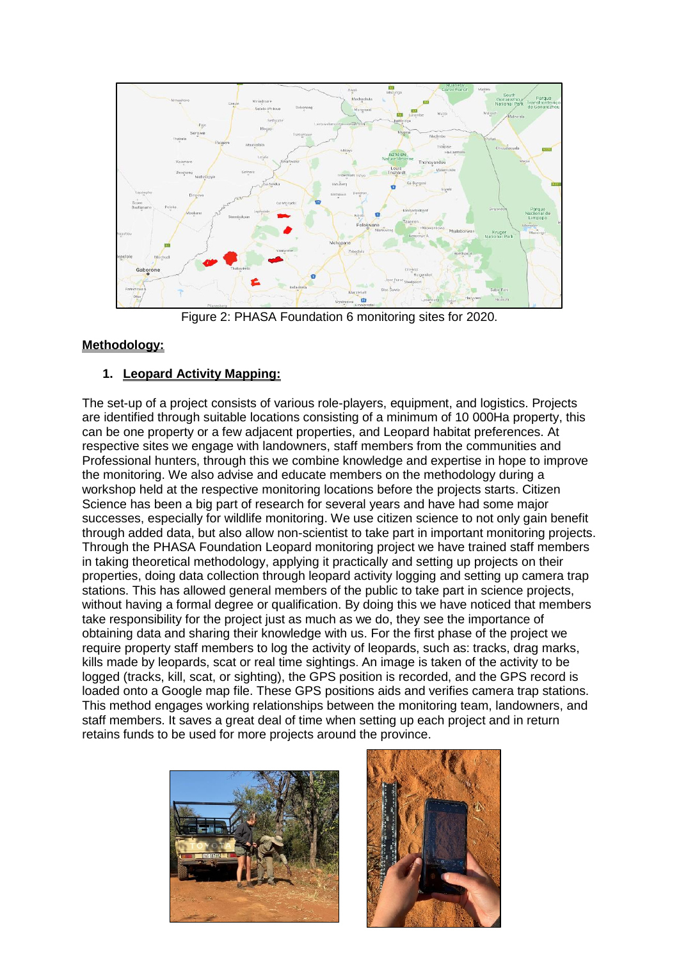

Figure 2: PHASA Foundation 6 monitoring sites for 2020.

# **Methodology:**

# **1. Leopard Activity Mapping:**

The set-up of a project consists of various role-players, equipment, and logistics. Projects are identified through suitable locations consisting of a minimum of 10 000Ha property, this can be one property or a few adjacent properties, and Leopard habitat preferences. At respective sites we engage with landowners, staff members from the communities and Professional hunters, through this we combine knowledge and expertise in hope to improve the monitoring. We also advise and educate members on the methodology during a workshop held at the respective monitoring locations before the projects starts. Citizen Science has been a big part of research for several years and have had some major successes, especially for wildlife monitoring. We use citizen science to not only gain benefit through added data, but also allow non-scientist to take part in important monitoring projects. Through the PHASA Foundation Leopard monitoring project we have trained staff members in taking theoretical methodology, applying it practically and setting up projects on their properties, doing data collection through leopard activity logging and setting up camera trap stations. This has allowed general members of the public to take part in science projects, without having a formal degree or qualification. By doing this we have noticed that members take responsibility for the project just as much as we do, they see the importance of obtaining data and sharing their knowledge with us. For the first phase of the project we require property staff members to log the activity of leopards, such as: tracks, drag marks, kills made by leopards, scat or real time sightings. An image is taken of the activity to be logged (tracks, kill, scat, or sighting), the GPS position is recorded, and the GPS record is loaded onto a Google map file. These GPS positions aids and verifies camera trap stations. This method engages working relationships between the monitoring team, landowners, and staff members. It saves a great deal of time when setting up each project and in return retains funds to be used for more projects around the province.



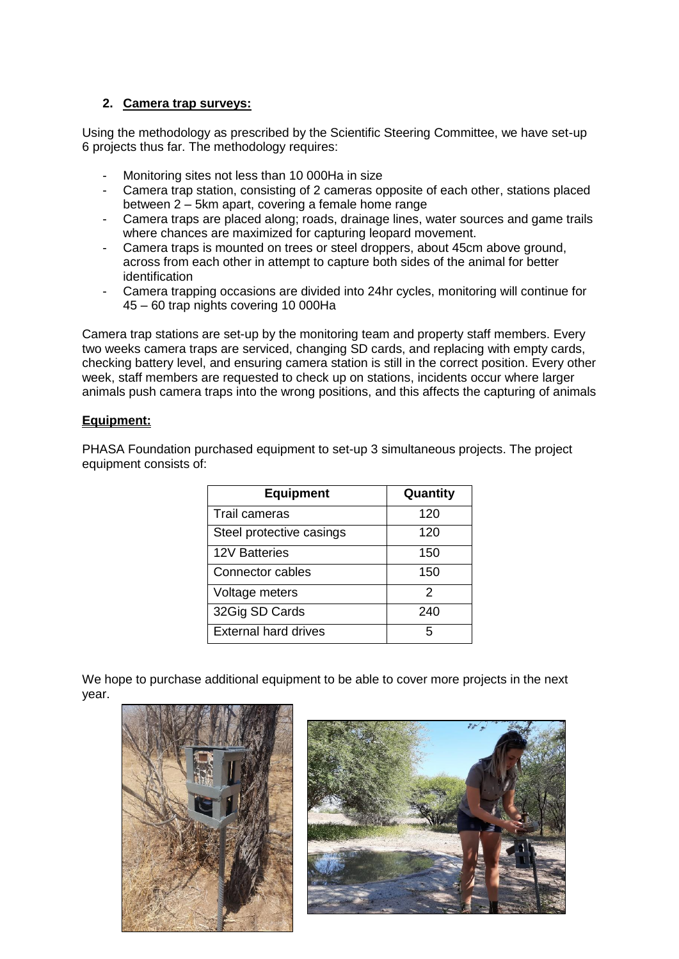# **2. Camera trap surveys:**

Using the methodology as prescribed by the Scientific Steering Committee, we have set-up 6 projects thus far. The methodology requires:

- Monitoring sites not less than 10 000Ha in size
- Camera trap station, consisting of 2 cameras opposite of each other, stations placed between 2 – 5km apart, covering a female home range
- Camera traps are placed along; roads, drainage lines, water sources and game trails where chances are maximized for capturing leopard movement.
- Camera traps is mounted on trees or steel droppers, about 45cm above ground, across from each other in attempt to capture both sides of the animal for better identification
- Camera trapping occasions are divided into 24hr cycles, monitoring will continue for 45 – 60 trap nights covering 10 000Ha

Camera trap stations are set-up by the monitoring team and property staff members. Every two weeks camera traps are serviced, changing SD cards, and replacing with empty cards, checking battery level, and ensuring camera station is still in the correct position. Every other week, staff members are requested to check up on stations, incidents occur where larger animals push camera traps into the wrong positions, and this affects the capturing of animals

# **Equipment:**

PHASA Foundation purchased equipment to set-up 3 simultaneous projects. The project equipment consists of:

| <b>Equipment</b>            | Quantity |
|-----------------------------|----------|
| Trail cameras               | 120      |
| Steel protective casings    | 120      |
| <b>12V Batteries</b>        | 150      |
| Connector cables            | 150      |
| Voltage meters              | 2        |
| 32Gig SD Cards              | 240      |
| <b>External hard drives</b> | 5        |

We hope to purchase additional equipment to be able to cover more projects in the next year.



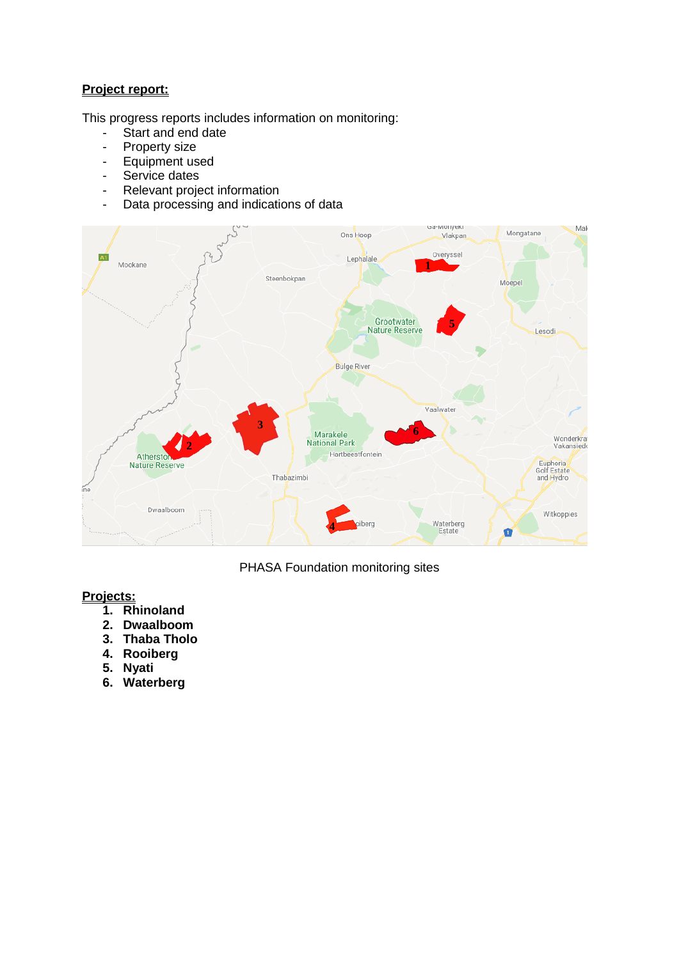## **Project report:**

This progress reports includes information on monitoring:

- Start and end date
- Property size
- Equipment used
- Service dates
- Relevant project information
- Data processing and indications of data



PHASA Foundation monitoring sites

# **Projects:**

- **1. Rhinoland**
- **2. Dwaalboom**
- **3. Thaba Tholo**
- **4. Rooiberg**
- **5. Nyati**
- **6. Waterberg**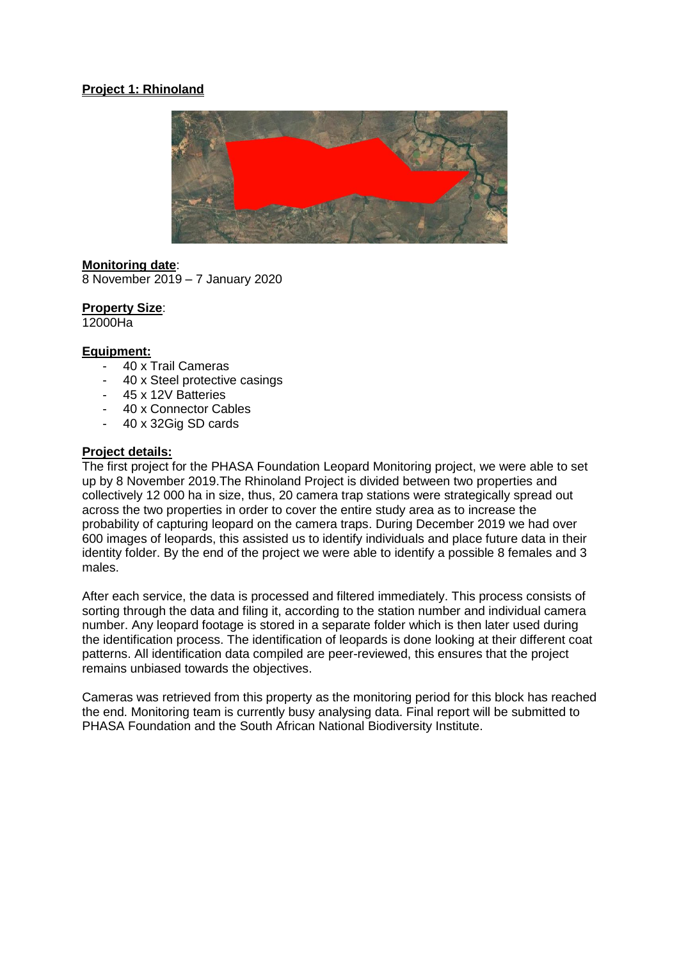## **Project 1: Rhinoland**



**Monitoring date**: 8 November 2019 – 7 January 2020

**Property Size**: 12000Ha

# **Equipment:**

- 40 x Trail Cameras
- 40 x Steel protective casings
- 45 x 12V Batteries
- 40 x Connector Cables
- 40 x 32Gig SD cards

#### **Project details:**

The first project for the PHASA Foundation Leopard Monitoring project, we were able to set up by 8 November 2019.The Rhinoland Project is divided between two properties and collectively 12 000 ha in size, thus, 20 camera trap stations were strategically spread out across the two properties in order to cover the entire study area as to increase the probability of capturing leopard on the camera traps. During December 2019 we had over 600 images of leopards, this assisted us to identify individuals and place future data in their identity folder. By the end of the project we were able to identify a possible 8 females and 3 males.

After each service, the data is processed and filtered immediately. This process consists of sorting through the data and filing it, according to the station number and individual camera number. Any leopard footage is stored in a separate folder which is then later used during the identification process. The identification of leopards is done looking at their different coat patterns. All identification data compiled are peer-reviewed, this ensures that the project remains unbiased towards the objectives.

Cameras was retrieved from this property as the monitoring period for this block has reached the end. Monitoring team is currently busy analysing data. Final report will be submitted to PHASA Foundation and the South African National Biodiversity Institute.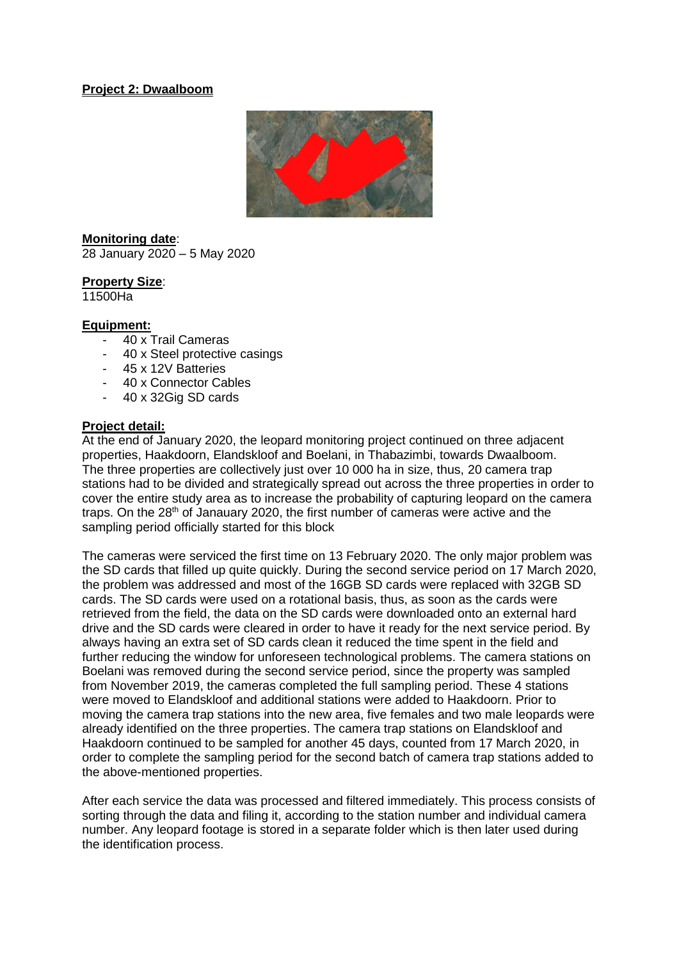#### **Project 2: Dwaalboom**



**Monitoring date**: 28 January 2020 – 5 May 2020

#### **Property Size**:

11500Ha

#### **Equipment:**

- 40 x Trail Cameras
- 40 x Steel protective casings
- 45 x 12V Batteries
- 40 x Connector Cables
- 40 x 32Gig SD cards

#### **Project detail:**

At the end of January 2020, the leopard monitoring project continued on three adjacent properties, Haakdoorn, Elandskloof and Boelani, in Thabazimbi, towards Dwaalboom. The three properties are collectively just over 10 000 ha in size, thus, 20 camera trap stations had to be divided and strategically spread out across the three properties in order to cover the entire study area as to increase the probability of capturing leopard on the camera traps. On the  $28<sup>th</sup>$  of Janauary 2020, the first number of cameras were active and the sampling period officially started for this block

The cameras were serviced the first time on 13 February 2020. The only major problem was the SD cards that filled up quite quickly. During the second service period on 17 March 2020, the problem was addressed and most of the 16GB SD cards were replaced with 32GB SD cards. The SD cards were used on a rotational basis, thus, as soon as the cards were retrieved from the field, the data on the SD cards were downloaded onto an external hard drive and the SD cards were cleared in order to have it ready for the next service period. By always having an extra set of SD cards clean it reduced the time spent in the field and further reducing the window for unforeseen technological problems. The camera stations on Boelani was removed during the second service period, since the property was sampled from November 2019, the cameras completed the full sampling period. These 4 stations were moved to Elandskloof and additional stations were added to Haakdoorn. Prior to moving the camera trap stations into the new area, five females and two male leopards were already identified on the three properties. The camera trap stations on Elandskloof and Haakdoorn continued to be sampled for another 45 days, counted from 17 March 2020, in order to complete the sampling period for the second batch of camera trap stations added to the above-mentioned properties.

After each service the data was processed and filtered immediately. This process consists of sorting through the data and filing it, according to the station number and individual camera number. Any leopard footage is stored in a separate folder which is then later used during the identification process.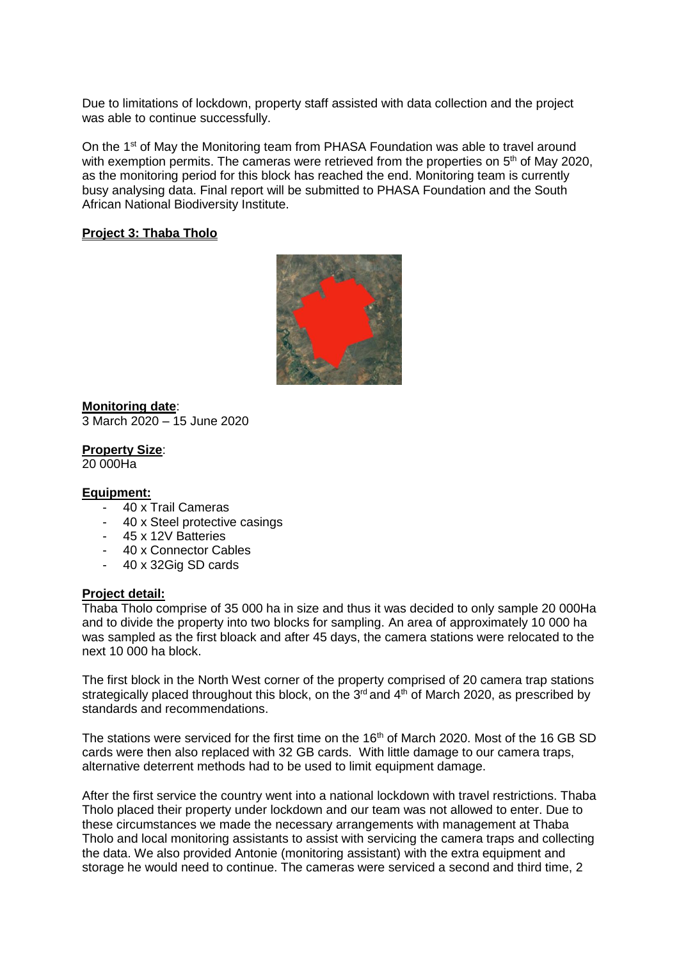Due to limitations of lockdown, property staff assisted with data collection and the project was able to continue successfully.

On the 1<sup>st</sup> of May the Monitoring team from PHASA Foundation was able to travel around with exemption permits. The cameras were retrieved from the properties on 5<sup>th</sup> of May 2020, as the monitoring period for this block has reached the end. Monitoring team is currently busy analysing data. Final report will be submitted to PHASA Foundation and the South African National Biodiversity Institute.

#### **Project 3: Thaba Tholo**



**Monitoring date**: 3 March 2020 – 15 June 2020

**Property Size**:

20 000Ha

#### **Equipment:**

- 40 x Trail Cameras
- 40 x Steel protective casings
- 45 x 12V Batteries
- 40 x Connector Cables
- 40 x 32Gig SD cards

#### **Project detail:**

Thaba Tholo comprise of 35 000 ha in size and thus it was decided to only sample 20 000Ha and to divide the property into two blocks for sampling. An area of approximately 10 000 ha was sampled as the first bloack and after 45 days, the camera stations were relocated to the next 10 000 ha block.

The first block in the North West corner of the property comprised of 20 camera trap stations strategically placed throughout this block, on the  $3<sup>rd</sup>$  and  $4<sup>th</sup>$  of March 2020, as prescribed by standards and recommendations.

The stations were serviced for the first time on the 16<sup>th</sup> of March 2020. Most of the 16 GB SD cards were then also replaced with 32 GB cards. With little damage to our camera traps, alternative deterrent methods had to be used to limit equipment damage.

After the first service the country went into a national lockdown with travel restrictions. Thaba Tholo placed their property under lockdown and our team was not allowed to enter. Due to these circumstances we made the necessary arrangements with management at Thaba Tholo and local monitoring assistants to assist with servicing the camera traps and collecting the data. We also provided Antonie (monitoring assistant) with the extra equipment and storage he would need to continue. The cameras were serviced a second and third time, 2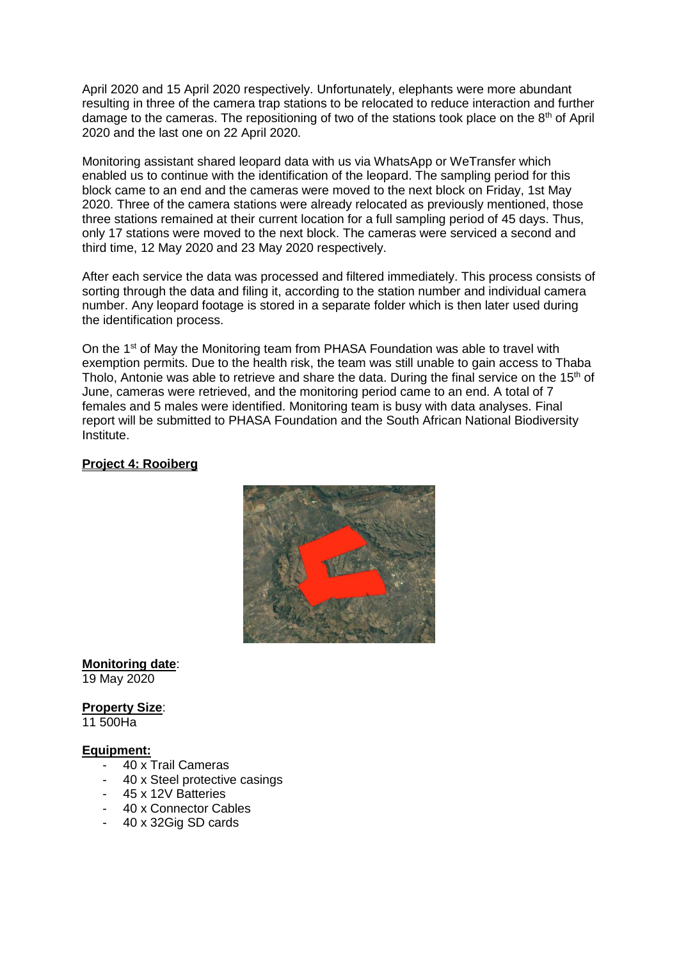April 2020 and 15 April 2020 respectively. Unfortunately, elephants were more abundant resulting in three of the camera trap stations to be relocated to reduce interaction and further damage to the cameras. The repositioning of two of the stations took place on the  $8<sup>th</sup>$  of April 2020 and the last one on 22 April 2020.

Monitoring assistant shared leopard data with us via WhatsApp or WeTransfer which enabled us to continue with the identification of the leopard. The sampling period for this block came to an end and the cameras were moved to the next block on Friday, 1st May 2020. Three of the camera stations were already relocated as previously mentioned, those three stations remained at their current location for a full sampling period of 45 days. Thus, only 17 stations were moved to the next block. The cameras were serviced a second and third time, 12 May 2020 and 23 May 2020 respectively.

After each service the data was processed and filtered immediately. This process consists of sorting through the data and filing it, according to the station number and individual camera number. Any leopard footage is stored in a separate folder which is then later used during the identification process.

On the 1st of May the Monitoring team from PHASA Foundation was able to travel with exemption permits. Due to the health risk, the team was still unable to gain access to Thaba Tholo, Antonie was able to retrieve and share the data. During the final service on the 15<sup>th</sup> of June, cameras were retrieved, and the monitoring period came to an end. A total of 7 females and 5 males were identified. Monitoring team is busy with data analyses. Final report will be submitted to PHASA Foundation and the South African National Biodiversity Institute.

# **Project 4: Rooiberg**



**Monitoring date**: 19 May 2020

**Property Size**:

11 500Ha

## **Equipment:**

- 40 x Trail Cameras
- 40 x Steel protective casings
- 45 x 12V Batteries
- 40 x Connector Cables
- 40 x 32Gig SD cards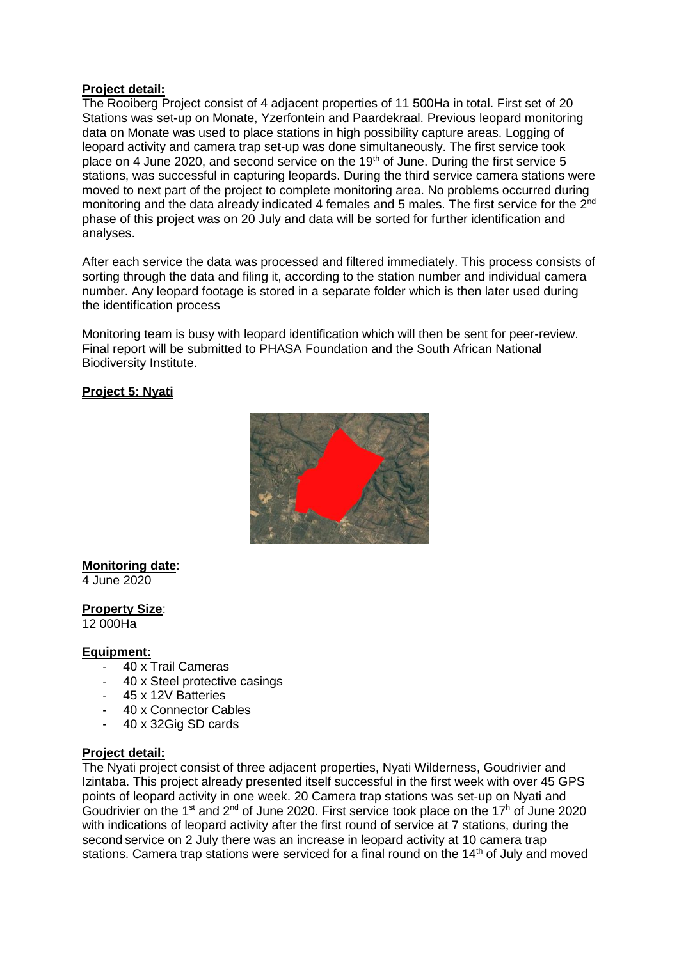#### **Project detail:**

The Rooiberg Project consist of 4 adjacent properties of 11 500Ha in total. First set of 20 Stations was set-up on Monate, Yzerfontein and Paardekraal. Previous leopard monitoring data on Monate was used to place stations in high possibility capture areas. Logging of leopard activity and camera trap set-up was done simultaneously. The first service took place on 4 June 2020, and second service on the 19<sup>th</sup> of June. During the first service 5 stations, was successful in capturing leopards. During the third service camera stations were moved to next part of the project to complete monitoring area. No problems occurred during monitoring and the data already indicated 4 females and 5 males. The first service for the 2<sup>nd</sup> phase of this project was on 20 July and data will be sorted for further identification and analyses.

After each service the data was processed and filtered immediately. This process consists of sorting through the data and filing it, according to the station number and individual camera number. Any leopard footage is stored in a separate folder which is then later used during the identification process

Monitoring team is busy with leopard identification which will then be sent for peer-review. Final report will be submitted to PHASA Foundation and the South African National Biodiversity Institute.

## **Project 5: Nyati**



# **Monitoring date**:

4 June 2020

**Property Size**: 12 000Ha

#### **Equipment:**

- 40 x Trail Cameras
- 40 x Steel protective casings
- 45 x 12V Batteries
- 40 x Connector Cables
- 40 x 32Gig SD cards

#### **Project detail:**

The Nyati project consist of three adjacent properties, Nyati Wilderness, Goudrivier and Izintaba. This project already presented itself successful in the first week with over 45 GPS points of leopard activity in one week. 20 Camera trap stations was set-up on Nyati and Goudrivier on the 1<sup>st</sup> and 2<sup>nd</sup> of June 2020. First service took place on the 17<sup>h</sup> of June 2020 with indications of leopard activity after the first round of service at 7 stations, during the second service on 2 July there was an increase in leopard activity at 10 camera trap stations. Camera trap stations were serviced for a final round on the 14<sup>th</sup> of July and moved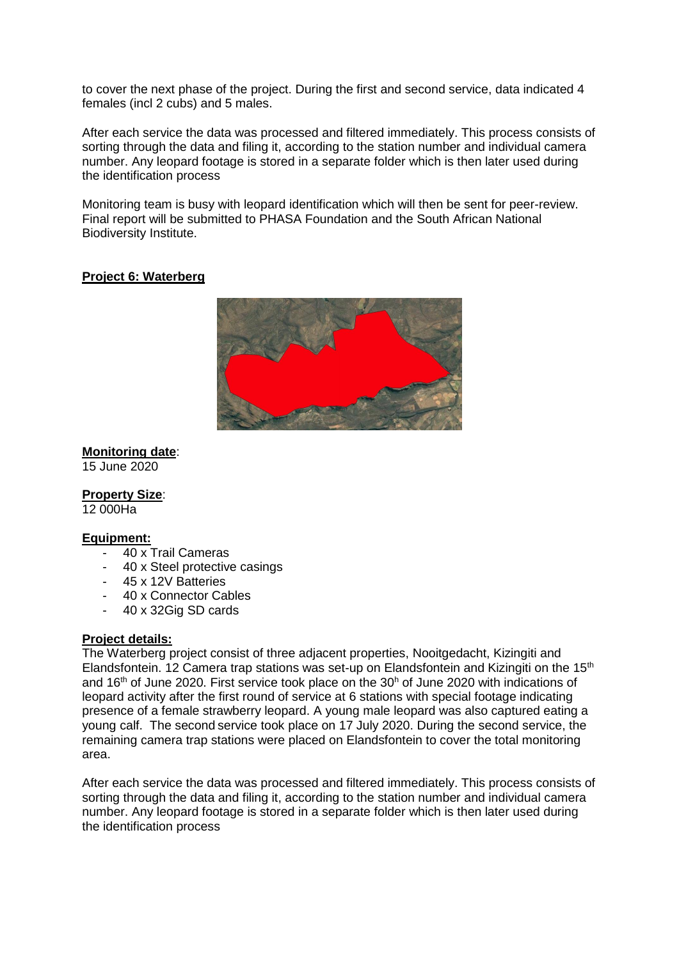to cover the next phase of the project. During the first and second service, data indicated 4 females (incl 2 cubs) and 5 males.

After each service the data was processed and filtered immediately. This process consists of sorting through the data and filing it, according to the station number and individual camera number. Any leopard footage is stored in a separate folder which is then later used during the identification process

Monitoring team is busy with leopard identification which will then be sent for peer-review. Final report will be submitted to PHASA Foundation and the South African National Biodiversity Institute.

# **Project 6: Waterberg**



# **Monitoring date**:

15 June 2020

**Property Size**:

12 000Ha

## **Equipment:**

- 40 x Trail Cameras
- 40 x Steel protective casings
- 45 x 12V Batteries
- 40 x Connector Cables
- 40 x 32Gig SD cards

## **Project details:**

The Waterberg project consist of three adjacent properties, Nooitgedacht, Kizingiti and Elandsfontein. 12 Camera trap stations was set-up on Elandsfontein and Kizingiti on the 15<sup>th</sup> and 16<sup>th</sup> of June 2020. First service took place on the 30<sup>h</sup> of June 2020 with indications of leopard activity after the first round of service at 6 stations with special footage indicating presence of a female strawberry leopard. A young male leopard was also captured eating a young calf. The second service took place on 17 July 2020. During the second service, the remaining camera trap stations were placed on Elandsfontein to cover the total monitoring area.

After each service the data was processed and filtered immediately. This process consists of sorting through the data and filing it, according to the station number and individual camera number. Any leopard footage is stored in a separate folder which is then later used during the identification process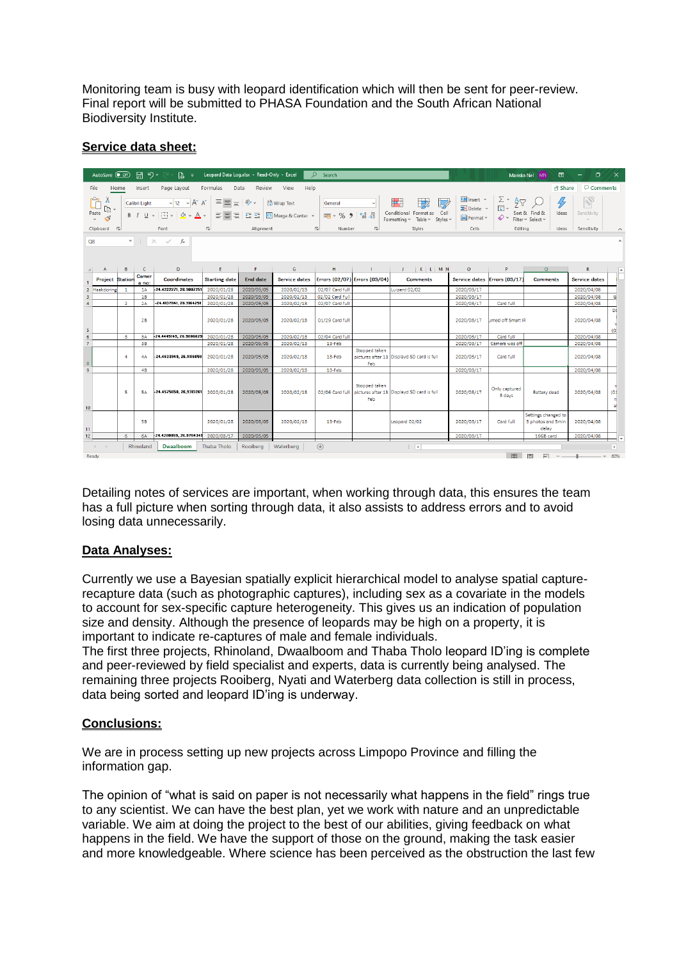Monitoring team is busy with leopard identification which will then be sent for peer-review. Final report will be submitted to PHASA Foundation and the South African National Biodiversity Institute.

# **Service data sheet:**

|                                                                                                                                                                      | AutoSave (O Off)                                                                      |                |                | 旧 り・○ - 頂 >                   | Leopard Data Log.xlsx - Read-Only - Excel |                 |                                                                                                                                                                                                                                                                                                                                                                                                                                                                 | $O$ Search      |                               |                                                           |            |                                                   | 囨<br>Mariska Nel MN                               | o                    | $\mathsf{X}$             |
|----------------------------------------------------------------------------------------------------------------------------------------------------------------------|---------------------------------------------------------------------------------------|----------------|----------------|-------------------------------|-------------------------------------------|-----------------|-----------------------------------------------------------------------------------------------------------------------------------------------------------------------------------------------------------------------------------------------------------------------------------------------------------------------------------------------------------------------------------------------------------------------------------------------------------------|-----------------|-------------------------------|-----------------------------------------------------------|------------|---------------------------------------------------|---------------------------------------------------|----------------------|--------------------------|
| File<br>Page Layout<br>Help<br><b>B</b> Share<br>Home<br>Insert<br>Formulas<br>Data<br>Review<br>View                                                                |                                                                                       |                |                |                               |                                           |                 |                                                                                                                                                                                                                                                                                                                                                                                                                                                                 |                 |                               |                                                           |            | <b>□</b> Comments                                 |                                                   |                      |                          |
| Y<br>Calibri Light $\longrightarrow  12 \rightarrow  A^*  A^* $<br>$\begin{array}{c}\n\Box \\ \vdots \\ \Box\n\end{array}$                                           |                                                                                       |                |                |                               |                                           |                 | $\mathbb{Z}$<br>$\blacksquare$<br>$\equiv \equiv \pmb{\equiv} \pmb{\gg} \sim \qquad \qquad \qquad \mbox{if} \qquad \qquad \mathsf{Q} \sim \mathsf{Wrap\,\,Text} \qquad \qquad \mathsf{Q} \sim \mathsf{Q} \label{eq:Q}$<br>$\mathbb{Z}$<br><b>B</b> $I \subseteq \vee \Box \vee \Box$ $\wedge \triangle \vee \Box$ $\equiv \Box \equiv \Box \equiv \Box$ $\Box$ Merge & Center $\vee$ $\Box$ $\Box$ $\vee$ $\Diamond$ $\bullet$ $\Box$ Conditional Formatas Cell |                 |                               |                                                           |            | V<br>$\boldsymbol{\beta}$<br>Sensitivity<br>Ideas |                                                   |                      |                          |
| Clipboard <sub>Is</sub><br>الأوا الأوار المستخدم المستخدم المستخدم المستخدم المستخدم المستخدم المستخدم المستخدم المستخدم المستخدم المستخدم<br><b>Example 19 Font</b> |                                                                                       |                |                |                               |                                           |                 |                                                                                                                                                                                                                                                                                                                                                                                                                                                                 |                 |                               | <b>Styles</b>                                             | Cells      | Editing                                           | Ideas Sensitivity                                 |                      |                          |
|                                                                                                                                                                      | $\mathbf{v} \quad \vdots \quad \mathbf{X} \quad \mathbf{v}' \quad f \mathbf{x}$<br>Q8 |                |                |                               |                                           |                 |                                                                                                                                                                                                                                                                                                                                                                                                                                                                 |                 |                               |                                                           |            |                                                   |                                                   |                      |                          |
|                                                                                                                                                                      | A                                                                                     |                | B C            | $\mathbf{D}$ and $\mathbf{D}$ |                                           |                 |                                                                                                                                                                                                                                                                                                                                                                                                                                                                 |                 |                               | $E$   $F$   $G$   $H$   $I$   $J$   $K$   $I$   $M$   $V$ | $\circ$    | P.                                                | Q                                                 | R.                   | ▲                        |
|                                                                                                                                                                      | <b>Project Station</b>                                                                |                | Camer<br>a no: | <b>Coordinates</b>            | <b>Starting date</b>                      | <b>End date</b> | <b>Service dates</b>                                                                                                                                                                                                                                                                                                                                                                                                                                            |                 | Errors (02/07) Errors (03/04) | <b>Comments</b>                                           |            | Service dates Errors (03/17)                      | <b>Comments</b>                                   | <b>Service dates</b> |                          |
| $\overline{2}$                                                                                                                                                       | Haakdoring                                                                            | -1             | <b>1A</b>      | -24.4222271, 26.9007251       | 2020/01/28                                | 2020/05/05      | 2020/02/13                                                                                                                                                                                                                                                                                                                                                                                                                                                      | 02/07 Card full |                               | Luiperd 02/02                                             | 2020/03/17 |                                                   |                                                   | 2020/04/08           |                          |
| R                                                                                                                                                                    |                                                                                       |                | 18             |                               | 2020/01/28                                | 2020/05/05      | 2020/02/13                                                                                                                                                                                                                                                                                                                                                                                                                                                      | 02/02 Card Full |                               |                                                           | 2020/03/17 |                                                   |                                                   | 2020/04/08           | G                        |
| $\overline{4}$                                                                                                                                                       |                                                                                       | $\overline{2}$ | 2A             | -24.4137841, 26.9164251       | 2020/01/28                                | 2020/05/05      | 2020/02/13                                                                                                                                                                                                                                                                                                                                                                                                                                                      | 02/07 Card full |                               |                                                           | 2020/03/17 | Card full                                         |                                                   | 2020/04/08           |                          |
| 5                                                                                                                                                                    |                                                                                       |                | 2B             |                               | 2020/01/28                                | 2020/05/05      | 2020/02/13                                                                                                                                                                                                                                                                                                                                                                                                                                                      | 01/29 Card full |                               |                                                           | 2020/03/17 | urned off Smart IR                                |                                                   | 2020/04/08           | Da<br>IO.                |
| 6 <sup>5</sup>                                                                                                                                                       |                                                                                       | 3              | 3A             | 24.4445149.26.9006829         | 2020/01/28                                | 2020/05/05      | 2020/02/13                                                                                                                                                                                                                                                                                                                                                                                                                                                      | 02/04 Card full |                               |                                                           | 2020/03/17 | Card full                                         |                                                   | 2020/04/08           |                          |
| $\overline{7}$                                                                                                                                                       |                                                                                       |                | 38             |                               | 2020/01/28                                | 2020/05/05      | 2020/02/13                                                                                                                                                                                                                                                                                                                                                                                                                                                      | 13-Feb          |                               |                                                           | 2020/03/17 | Camera was off                                    |                                                   | 2020/04/08           |                          |
| $\mathbf{8}$                                                                                                                                                         |                                                                                       | $\mathbf{4}$   | 4A             | -24.4633949, 26.9116059       | 2020/01/28                                | 2020/05/05      | 2020/02/13                                                                                                                                                                                                                                                                                                                                                                                                                                                      | 13-Feb          | Stopped taken<br>Feb          | pictures after 13 Displayd SD card is full                | 2020/03/17 | Card full                                         |                                                   | 2020/04/08           |                          |
| $\overline{9}$                                                                                                                                                       |                                                                                       |                | 4B             |                               | 2020/01/28                                | 2020/05/05      | 2020/02/13                                                                                                                                                                                                                                                                                                                                                                                                                                                      | 13-Feb          |                               |                                                           | 2020/03/17 |                                                   |                                                   | 2020/04/08           |                          |
| 10 <sup>°</sup>                                                                                                                                                      |                                                                                       | 5.             | <b>5A</b>      | -24.4575650, 26, 9313261      | 2020/01/28                                | 2020/05/05      | 2020/02/13                                                                                                                                                                                                                                                                                                                                                                                                                                                      | 02/06 Card full | Stopped taken<br>Feb          | pictures after 13 Displayd SD card is full                | 2020/03/17 | Only captured<br>3 days                           | Battery dead                                      | 2020/04/08           | (01)                     |
| 11                                                                                                                                                                   |                                                                                       |                | 58             |                               | 2020/01/28                                | 2020/05/05      | 2020/02/13                                                                                                                                                                                                                                                                                                                                                                                                                                                      | 13-Feb          |                               | Leopard 02/02                                             | 2020/03/17 | Card full                                         | Settings changed to<br>5 photos and 5min<br>delay | 2020/04/08           |                          |
| 12 <sup>2</sup>                                                                                                                                                      |                                                                                       | 6              | <b>6A</b>      | 24.4200099, 26.9704341        | 2020/03/17                                | 2020/05/05      |                                                                                                                                                                                                                                                                                                                                                                                                                                                                 |                 |                               |                                                           | 2020/03/17 |                                                   | 16GB card                                         | 2020/04/08           |                          |
|                                                                                                                                                                      | $-4$ $-1$                                                                             |                | Rhinoland      | <b>Dwaalboom</b>              | Thaba Tholo                               | Rooiberg        | Waterberg                                                                                                                                                                                                                                                                                                                                                                                                                                                       | (F)             |                               | $\pm$ 31                                                  |            |                                                   |                                                   |                      | $\overline{\phantom{1}}$ |
| 用 回<br>$\Box$ --<br>Ready                                                                                                                                            |                                                                                       |                |                |                               |                                           |                 |                                                                                                                                                                                                                                                                                                                                                                                                                                                                 |                 |                               | $+ 80%$                                                   |            |                                                   |                                                   |                      |                          |

Detailing notes of services are important, when working through data, this ensures the team has a full picture when sorting through data, it also assists to address errors and to avoid losing data unnecessarily.

# **Data Analyses:**

Currently we use a Bayesian spatially explicit hierarchical model to analyse spatial capturerecapture data (such as photographic captures), including sex as a covariate in the models to account for sex-specific capture heterogeneity. This gives us an indication of population size and density. Although the presence of leopards may be high on a property, it is important to indicate re-captures of male and female individuals.

The first three projects, Rhinoland, Dwaalboom and Thaba Tholo leopard ID'ing is complete and peer-reviewed by field specialist and experts, data is currently being analysed. The remaining three projects Rooiberg, Nyati and Waterberg data collection is still in process, data being sorted and leopard ID'ing is underway.

# **Conclusions:**

We are in process setting up new projects across Limpopo Province and filling the information gap.

The opinion of "what is said on paper is not necessarily what happens in the field" rings true to any scientist. We can have the best plan, yet we work with nature and an unpredictable variable. We aim at doing the project to the best of our abilities, giving feedback on what happens in the field. We have the support of those on the ground, making the task easier and more knowledgeable. Where science has been perceived as the obstruction the last few